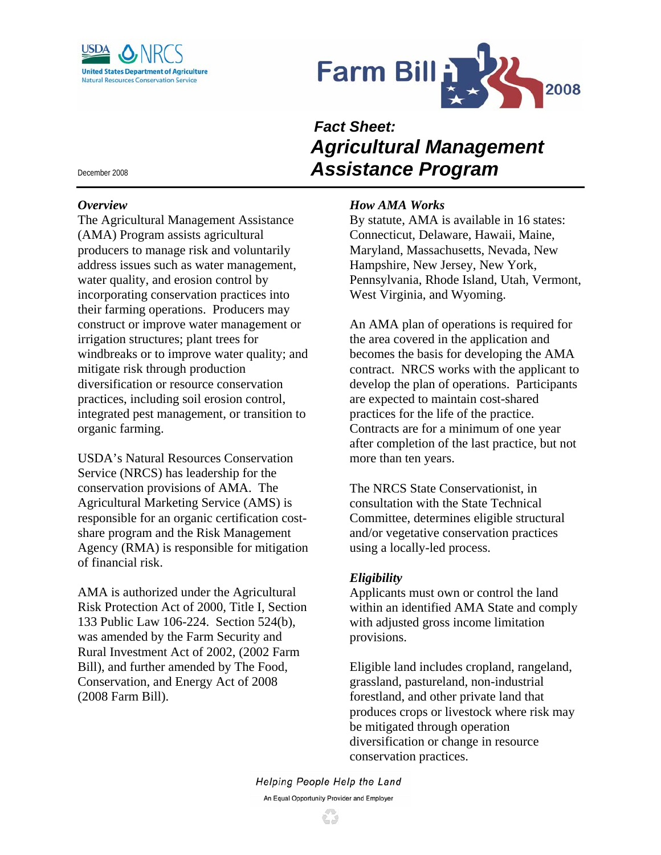



# *Fact Sheet: Agricultural Management Assistance Program*

# *How AMA Works*

By statute, AMA is available in 16 states: Connecticut, Delaware, Hawaii, Maine, Maryland, Massachusetts, Nevada, New Hampshire, New Jersey, New York, Pennsylvania, Rhode Island, Utah, Vermont, West Virginia, and Wyoming.

An AMA plan of operations is required for the area covered in the application and becomes the basis for developing the AMA contract. NRCS works with the applicant to develop the plan of operations. Participants are expected to maintain cost-shared practices for the life of the practice. Contracts are for a minimum of one year after completion of the last practice, but not more than ten years.

The NRCS State Conservationist, in consultation with the State Technical Committee, determines eligible structural and/or vegetative conservation practices using a locally-led process.

### *Eligibility*

Applicants must own or control the land within an identified AMA State and comply with adjusted gross income limitation provisions.

Eligible land includes cropland, rangeland, grassland, pastureland, non-industrial forestland, and other private land that produces crops or livestock where risk may be mitigated through operation diversification or change in resource conservation practices.

Helping People Help the Land An Equal Opportunity Provider and Employer

December 2008

#### *Overview*

The Agricultural Management Assistance (AMA) Program assists agricultural producers to manage risk and voluntarily address issues such as water management, water quality, and erosion control by incorporating conservation practices into their farming operations. Producers may construct or improve water management or irrigation structures; plant trees for windbreaks or to improve water quality; and mitigate risk through production diversification or resource conservation practices, including soil erosion control, integrated pest management, or transition to organic farming.

USDA's Natural Resources Conservation Service (NRCS) has leadership for the conservation provisions of AMA. The Agricultural Marketing Service (AMS) is responsible for an organic certification costshare program and the Risk Management Agency (RMA) is responsible for mitigation of financial risk.

AMA is authorized under the Agricultural Risk Protection Act of 2000, Title I, Section 133 Public Law 106-224. Section 524(b), was amended by the Farm Security and Rural Investment Act of 2002, (2002 Farm Bill), and further amended by The Food, Conservation, and Energy Act of 2008 (2008 Farm Bill).